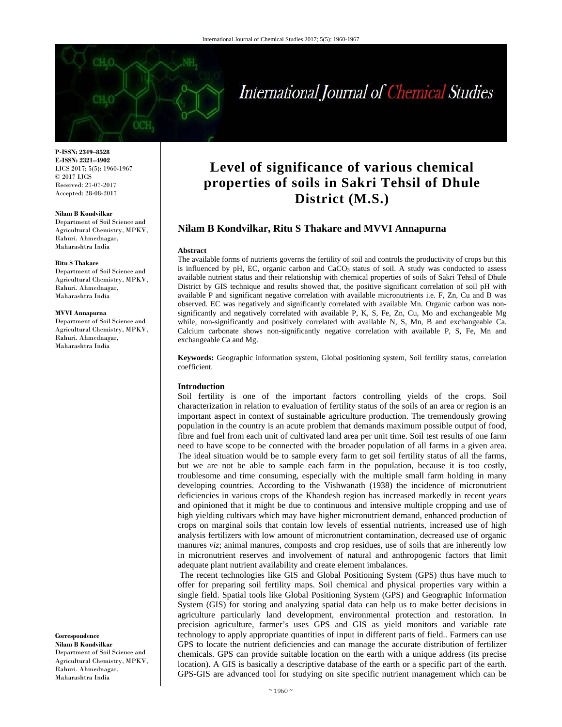

#### **Nilam B Kondvilkar**

Department of Soil Science and Agricultural Chemistry, MPKV, Rahuri. Ahmednagar, Maharashtra India

#### **Ritu S Thakare**

Department of Soil Science and Agricultural Chemistry, MPKV, Rahuri. Ahmednagar, Maharashtra India

#### **MVVI Annapurna**

Department of Soil Science and Agricultural Chemistry, MPKV, Rahuri. Ahmednagar, Maharashtra India

**Correspondence** 

**Nilam B Kondvilkar**  Department of Soil Science and Agricultural Chemistry, MPKV, Rahuri. Ahmednagar, Maharashtra India

# **Level of significance of various chemical properties of soils in Sakri Tehsil of Dhule District (M.S.)**

International Journal of Chemical Studies

# **Nilam B Kondvilkar, Ritu S Thakare and MVVI Annapurna**

#### **Abstract**

The available forms of nutrients governs the fertility of soil and controls the productivity of crops but this is influenced by pH, EC, organic carbon and CaCO<sub>3</sub> status of soil. A study was conducted to assess available nutrient status and their relationship with chemical properties of soils of Sakri Tehsil of Dhule District by GIS technique and results showed that, the positive significant correlation of soil pH with available P and significant negative correlation with available micronutrients i.e. F, Zn, Cu and B was observed. EC was negatively and significantly correlated with available Mn. Organic carbon was nonsignificantly and negatively correlated with available P, K, S, Fe, Zn, Cu, Mo and exchangeable Mg while, non-significantly and positively correlated with available N, S, Mn, B and exchangeable Ca. Calcium carbonate shows non-significantly negative correlation with available P, S, Fe, Mn and exchangeable Ca and Mg.

**Keywords:** Geographic information system, Global positioning system, Soil fertility status, correlation coefficient.

#### **Introduction**

Soil fertility is one of the important factors controlling yields of the crops. Soil characterization in relation to evaluation of fertility status of the soils of an area or region is an important aspect in context of sustainable agriculture production. The tremendously growing population in the country is an acute problem that demands maximum possible output of food, fibre and fuel from each unit of cultivated land area per unit time. Soil test results of one farm need to have scope to be connected with the broader population of all farms in a given area. The ideal situation would be to sample every farm to get soil fertility status of all the farms, but we are not be able to sample each farm in the population, because it is too costly, troublesome and time consuming, especially with the multiple small farm holding in many developing countries. According to the Vishwanath (1938) the incidence of micronutrient deficiencies in various crops of the Khandesh region has increased markedly in recent years and opinioned that it might be due to continuous and intensive multiple cropping and use of high yielding cultivars which may have higher micronutrient demand, enhanced production of crops on marginal soils that contain low levels of essential nutrients, increased use of high analysis fertilizers with low amount of micronutrient contamination, decreased use of organic manures *viz*; animal manures, composts and crop residues, use of soils that are inherently low in micronutrient reserves and involvement of natural and anthropogenic factors that limit adequate plant nutrient availability and create element imbalances.

 The recent technologies like GIS and Global Positioning System (GPS) thus have much to offer for preparing soil fertility maps. Soil chemical and physical properties vary within a single field. Spatial tools like Global Positioning System (GPS) and Geographic Information System (GIS) for storing and analyzing spatial data can help us to make better decisions in agriculture particularly land development, environmental protection and restoration. In precision agriculture, farmer's uses GPS and GIS as yield monitors and variable rate technology to apply appropriate quantities of input in different parts of field.. Farmers can use GPS to locate the nutrient deficiencies and can manage the accurate distribution of fertilizer chemicals. GPS can provide suitable location on the earth with a unique address (its precise location). A GIS is basically a descriptive database of the earth or a specific part of the earth. GPS-GIS are advanced tool for studying on site specific nutrient management which can be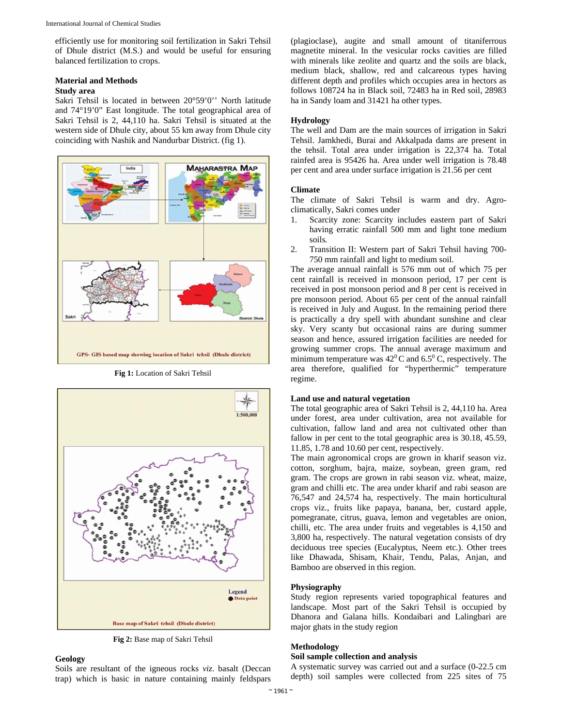efficiently use for monitoring soil fertilization in Sakri Tehsil of Dhule district (M.S.) and would be useful for ensuring balanced fertilization to crops.

# **Material and Methods**

# **Study area**

Sakri Tehsil is located in between 20°59'0'' North latitude and 74°19'0" East longitude. The total geographical area of Sakri Tehsil is 2, 44,110 ha. Sakri Tehsil is situated at the western side of Dhule city, about 55 km away from Dhule city coinciding with Nashik and Nandurbar District. (fig 1).



**Fig 1:** Location of Sakri Tehsil



**Fig 2:** Base map of Sakri Tehsil

#### **Geology**

Soils are resultant of the igneous rocks *viz*. basalt (Deccan trap) which is basic in nature containing mainly feldspars (plagioclase), augite and small amount of titaniferrous magnetite mineral. In the vesicular rocks cavities are filled with minerals like zeolite and quartz and the soils are black, medium black, shallow, red and calcareous types having different depth and profiles which occupies area in hectors as follows 108724 ha in Black soil, 72483 ha in Red soil, 28983 ha in Sandy loam and 31421 ha other types.

# **Hydrology**

The well and Dam are the main sources of irrigation in Sakri Tehsil. Jamkhedi, Burai and Akkalpada dams are present in the tehsil. Total area under irrigation is 22,374 ha. Total rainfed area is 95426 ha. Area under well irrigation is 78.48 per cent and area under surface irrigation is 21.56 per cent

### **Climate**

The climate of Sakri Tehsil is warm and dry. Agroclimatically, Sakri comes under

- 1. Scarcity zone: Scarcity includes eastern part of Sakri having erratic rainfall 500 mm and light tone medium soils*.*
- 2. Transition II: Western part of Sakri Tehsil having 700- 750 mm rainfall and light to medium soil.

The average annual rainfall is 576 mm out of which 75 per cent rainfall is received in monsoon period, 17 per cent is received in post monsoon period and 8 per cent is received in pre monsoon period. About 65 per cent of the annual rainfall is received in July and August. In the remaining period there is practically a dry spell with abundant sunshine and clear sky. Very scanty but occasional rains are during summer season and hence, assured irrigation facilities are needed for growing summer crops. The annual average maximum and minimum temperature was  $42^{\circ}$ C and 6.5°C, respectively. The area therefore, qualified for "hyperthermic" temperature regime.

## **Land use and natural vegetation**

The total geographic area of Sakri Tehsil is 2, 44,110 ha. Area under forest, area under cultivation, area not available for cultivation, fallow land and area not cultivated other than fallow in per cent to the total geographic area is 30.18, 45.59, 11.85, 1.78 and 10.60 per cent, respectively.

The main agronomical crops are grown in kharif season viz. cotton, sorghum, bajra, maize, soybean, green gram, red gram. The crops are grown in rabi season viz. wheat, maize, gram and chilli etc. The area under kharif and rabi season are 76,547 and 24,574 ha, respectively. The main horticultural crops viz., fruits like papaya, banana, ber, custard apple, pomegranate, citrus, guava, lemon and vegetables are onion, chilli, etc. The area under fruits and vegetables is 4,150 and 3,800 ha, respectively. The natural vegetation consists of dry deciduous tree species (Eucalyptus, Neem etc.). Other trees like Dhawada, Shisam, Khair, Tendu, Palas, Anjan, and Bamboo are observed in this region.

## **Physiography**

Study region represents varied topographical features and landscape. Most part of the Sakri Tehsil is occupied by Dhanora and Galana hills. Kondaibari and Lalingbari are major ghats in the study region

## **Methodology**

## **Soil sample collection and analysis**

A systematic survey was carried out and a surface (0-22.5 cm depth) soil samples were collected from 225 sites of 75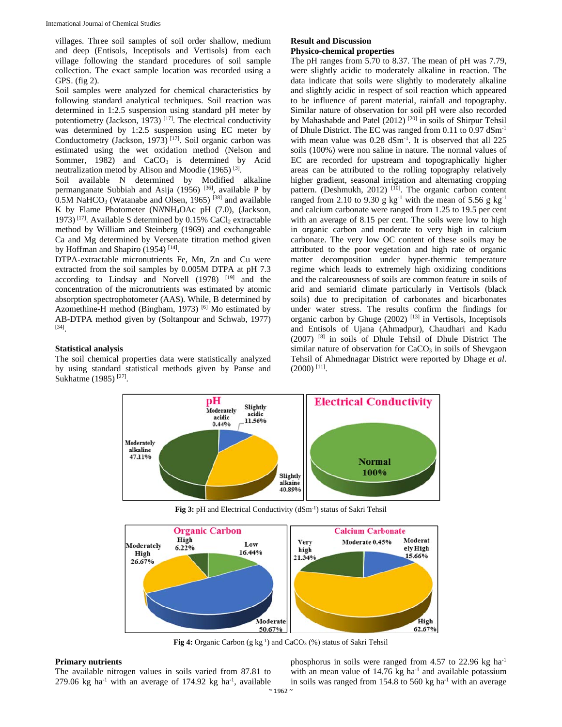villages. Three soil samples of soil order shallow, medium and deep (Entisols, Inceptisols and Vertisols) from each village following the standard procedures of soil sample collection. The exact sample location was recorded using a GPS. (fig 2).

Soil samples were analyzed for chemical characteristics by following standard analytical techniques. Soil reaction was determined in 1:2.5 suspension using standard pH meter by potentiometry (Jackson, 1973)<sup>[17]</sup>. The electrical conductivity was determined by 1:2.5 suspension using EC meter by Conductometry (Jackson, 1973)<sup>[17]</sup>. Soil organic carbon was estimated using the wet oxidation method (Nelson and Sommer, 1982) and  $CaCO<sub>3</sub>$  is determined by Acid neutralization metod by Alison and Moodie (1965) [3].

Soil available N determined by Modified alkaline permanganate Subbiah and Asija (1956) <sup>[36]</sup>, available P by 0.5M NaHCO<sub>3</sub> (Watanabe and Olsen, 1965)<sup>[38]</sup> and available K by Flame Photometer (N*N*NH4OAc pH (7.0), (Jackson, 1973)<sup>[17]</sup>. Available S determined by 0.15% CaCl<sub>2</sub> extractable method by William and Steinberg (1969) and exchangeable Ca and Mg determined by Versenate titration method given by Hoffman and Shapiro  $(1954)$ <sup>[14]</sup>.

DTPA-extractable micronutrients Fe, Mn, Zn and Cu were extracted from the soil samples by 0.005M DTPA at pH 7.3 according to Lindsay and Norvell (1978) [19] and the concentration of the micronutrients was estimated by atomic absorption spectrophotometer (AAS). While, B determined by Azomethine-H method (Bingham, 1973) [6] Mo estimated by AB-DTPA method given by (Soltanpour and Schwab, 1977) [34].

## **Statistical analysis**

The soil chemical properties data were statistically analyzed by using standard statistical methods given by Panse and Sukhatme (1985) [27].

#### **Result and Discussion Physico-chemical properties**

The pH ranges from 5.70 to 8.37. The mean of pH was 7.79, were slightly acidic to moderately alkaline in reaction. The data indicate that soils were slightly to moderately alkaline and slightly acidic in respect of soil reaction which appeared to be influence of parent material, rainfall and topography. Similar nature of observation for soil pH were also recorded by Mahashabde and Patel (2012)<sup>[20]</sup> in soils of Shirpur Tehsil of Dhule District. The EC was ranged from 0.11 to 0.97 dSm-1 with mean value was  $0.28 \text{ dSm}^{-1}$ . It is observed that all  $225$ soils (100%) were non saline in nature. The normal values of EC are recorded for upstream and topographically higher areas can be attributed to the rolling topography relatively higher gradient, seasonal irrigation and alternating cropping pattern. (Deshmukh, 2012) <sup>[10]</sup>. The organic carbon content ranged from 2.10 to 9.30 g kg<sup>-1</sup> with the mean of 5.56 g kg<sup>-1</sup> and calcium carbonate were ranged from 1.25 to 19.5 per cent with an average of 8.15 per cent. The soils were low to high in organic carbon and moderate to very high in calcium carbonate. The very low OC content of these soils may be attributed to the poor vegetation and high rate of organic matter decomposition under hyper-thermic temperature regime which leads to extremely high oxidizing conditions and the calcareousness of soils are common feature in soils of arid and semiarid climate particularly in Vertisols (black soils) due to precipitation of carbonates and bicarbonates under water stress. The results confirm the findings for organic carbon by Ghuge (2002) [13] in Vertisols, Inceptisols and Entisols of Ujana (Ahmadpur), Chaudhari and Kadu (2007) [8] in soils of Dhule Tehsil of Dhule District The similar nature of observation for  $CaCO<sub>3</sub>$  in soils of Shevgaon Tehsil of Ahmednagar District were reported by Dhage *et al*. (2000) [11].



Fig 3: pH and Electrical Conductivity (dSm<sup>-1</sup>) status of Sakri Tehsil



**Fig 4:** Organic Carbon (g kg<sup>-1</sup>) and CaCO<sub>3</sub> (%) status of Sakri Tehsil

## **Primary nutrients**

The available nitrogen values in soils varied from 87.81 to 279.06 kg ha-1 with an average of 174.92 kg ha**-**<sup>1</sup> , available phosphorus in soils were ranged from 4.57 to 22.96 kg ha-1 with an mean value of  $14.76$  kg ha<sup>-1</sup> and available potassium in soils was ranged from  $154.8$  to  $560 \text{ kg}$  ha<sup>-1</sup> with an average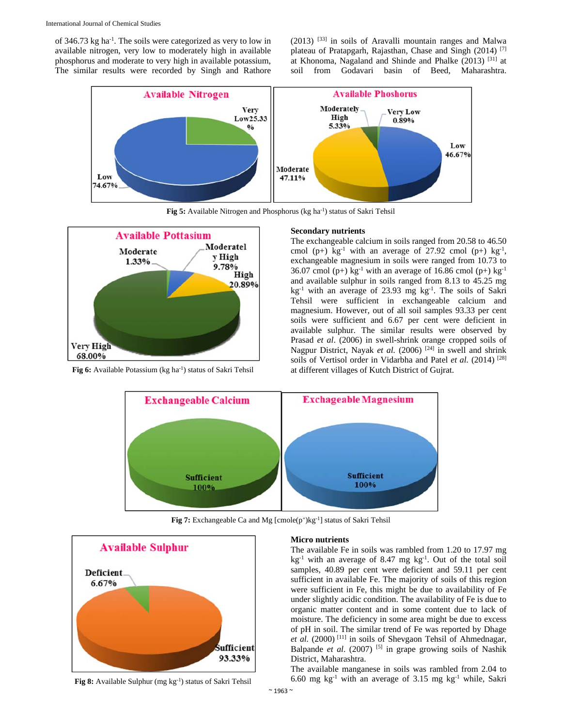of 346.73 kg ha-1. The soils were categorized as very to low in available nitrogen, very low to moderately high in available phosphorus and moderate to very high in available potassium, The similar results were recorded by Singh and Rathore

(2013) [33] in soils of Aravalli mountain ranges and Malwa plateau of Pratapgarh, Rajasthan, Chase and Singh (2014) [7] at Khonoma, Nagaland and Shinde and Phalke (2013) [31] at soil from Godavari basin of Beed, Maharashtra.



Fig 5: Available Nitrogen and Phosphorus (kg ha<sup>-1</sup>) status of Sakri Tehsil



**Fig 6:** Available Potassium (kg ha<sup>-1</sup>) status of Sakri Tehsil

#### **Secondary nutrients**

The exchangeable calcium in soils ranged from 20.58 to 46.50 cmol (p+) kg<sup>-1</sup> with an average of 27.92 cmol (p+) kg<sup>-1</sup>, exchangeable magnesium in soils were ranged from 10.73 to 36.07 cmol (p+) kg<sup>-1</sup> with an average of 16.86 cmol (p+) kg<sup>-1</sup> and available sulphur in soils ranged from 8.13 to 45.25 mg kg-1 with an average of 23.93 mg kg-1. The soils of Sakri Tehsil were sufficient in exchangeable calcium and magnesium. However, out of all soil samples 93.33 per cent soils were sufficient and 6.67 per cent were deficient in available sulphur. The similar results were observed by Prasad *et al*. (2006) in swell-shrink orange cropped soils of Nagpur District, Nayak *et al.* (2006)<sup>[24]</sup> in swell and shrink soils of Vertisol order in Vidarbha and Patel *et al.* (2014)<sup>[28]</sup> at different villages of Kutch District of Gujrat.



Fig 7: Exchangeable Ca and Mg [cmole(p<sup>+</sup>)kg<sup>-1</sup>] status of Sakri Tehsil



**Fig 8:** Available Sulphur (mg kg-1) status of Sakri Tehsil

#### **Micro nutrients**

The available Fe in soils was rambled from 1.20 to 17.97 mg  $kg<sup>-1</sup>$  with an average of 8.47 mg  $kg<sup>-1</sup>$ . Out of the total soil samples, 40.89 per cent were deficient and 59.11 per cent sufficient in available Fe. The majority of soils of this region were sufficient in Fe, this might be due to availability of Fe under slightly acidic condition. The availability of Fe is due to organic matter content and in some content due to lack of moisture. The deficiency in some area might be due to excess of pH in soil. The similar trend of Fe was reported by Dhage et al. (2000)<sup>[11]</sup> in soils of Shevgaon Tehsil of Ahmednagar, Balpande *et al.* (2007) <sup>[5]</sup> in grape growing soils of Nashik District, Maharashtra.

The available manganese in soils was rambled from 2.04 to 6.60 mg kg<sup>-1</sup> with an average of 3.15 mg kg<sup>-1</sup> while, Sakri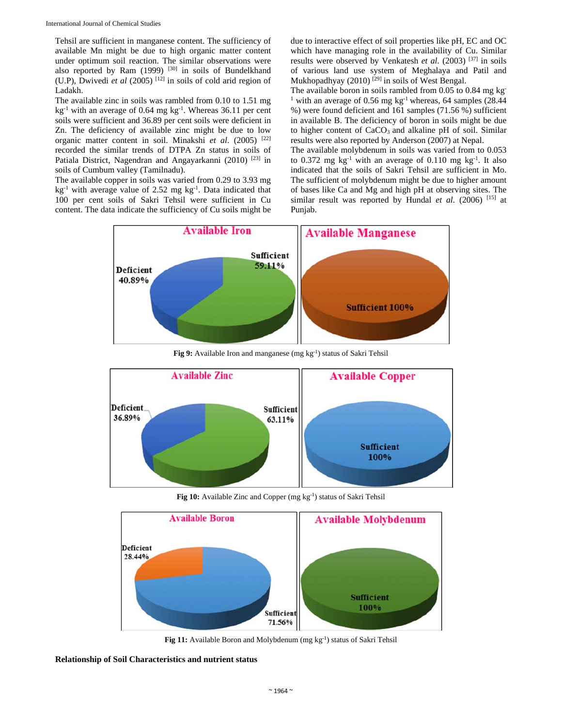Tehsil are sufficient in manganese content. The sufficiency of available Mn might be due to high organic matter content under optimum soil reaction. The similar observations were also reported by Ram  $(1999)$ <sup>[30]</sup> in soils of Bundelkhand (U.P), Dwivedi *et al* (2005)<sup>[12]</sup> in soils of cold arid region of Ladakh.

The available zinc in soils was rambled from 0.10 to 1.51 mg kg-1 with an average of 0.64 mg kg-1. Whereas 36.11 per cent soils were sufficient and 36.89 per cent soils were deficient in Zn. The deficiency of available zinc might be due to low organic matter content in soil. Minakshi *et al*. (2005) [22] recorded the similar trends of DTPA Zn status in soils of Patiala District, Nagendran and Angayarkanni (2010) [23] in soils of Cumbum valley (Tamilnadu).

The available copper in soils was varied from 0.29 to 3.93 mg  $kg<sup>-1</sup>$  with average value of 2.52 mg kg<sup>-1</sup>. Data indicated that 100 per cent soils of Sakri Tehsil were sufficient in Cu content. The data indicate the sufficiency of Cu soils might be due to interactive effect of soil properties like pH, EC and OC which have managing role in the availability of Cu. Similar results were observed by Venkatesh *et al.* (2003)<sup>[37]</sup> in soils of various land use system of Meghalaya and Patil and Mukhopadhyay (2010)  $^{[29]}$  in soils of West Bengal.

The available boron in soils rambled from 0.05 to 0.84 mg kg-<sup>1</sup> with an average of 0.56 mg kg<sup>-1</sup> whereas, 64 samples (28.44 %) were found deficient and 161 samples (71.56 %) sufficient in available B. The deficiency of boron in soils might be due to higher content of CaCO<sub>3</sub> and alkaline pH of soil. Similar results were also reported by Anderson (2007) at Nepal.

The available molybdenum in soils was varied from to 0.053 to 0.372 mg kg-1 with an average of 0.110 mg kg-1. It also indicated that the soils of Sakri Tehsil are sufficient in Mo. The sufficient of molybdenum might be due to higher amount of bases like Ca and Mg and high pH at observing sites. The similar result was reported by Hundal *et al.* (2006) <sup>[15]</sup> at Punjab.



Fig 9: Available Iron and manganese (mg kg<sup>-1</sup>) status of Sakri Tehsil



Fig 10: Available Zinc and Copper (mg kg<sup>-1</sup>) status of Sakri Tehsil



**Fig 11:** Available Boron and Molybdenum (mg kg<sup>-1</sup>) status of Sakri Tehsil

**Relationship of Soil Characteristics and nutrient status**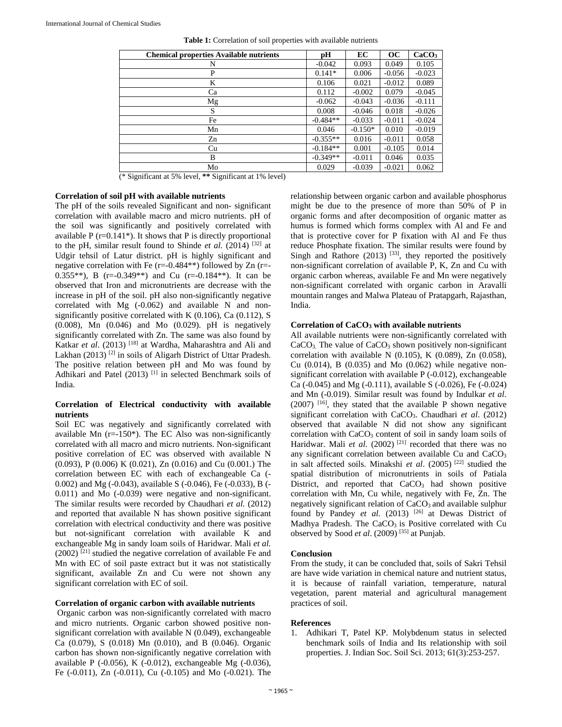| <b>Chemical properties Available nutrients</b> | pН         | EC        | OC       | CaCO <sub>3</sub> |
|------------------------------------------------|------------|-----------|----------|-------------------|
| N                                              | $-0.042$   | 0.093     | 0.049    | 0.105             |
| P                                              | $0.141*$   | 0.006     | $-0.056$ | $-0.023$          |
| K                                              | 0.106      | 0.021     | $-0.012$ | 0.089             |
| Ca                                             | 0.112      | $-0.002$  | 0.079    | $-0.045$          |
| Mg                                             | $-0.062$   | $-0.043$  | $-0.036$ | $-0.111$          |
| S                                              | 0.008      | $-0.046$  | 0.018    | $-0.026$          |
| Fe                                             | $-0.484**$ | $-0.033$  | $-0.011$ | $-0.024$          |
| Mn                                             | 0.046      | $-0.150*$ | 0.010    | $-0.019$          |
| Zn                                             | $-0.355**$ | 0.016     | $-0.011$ | 0.058             |
| Cu                                             | $-0.184**$ | 0.001     | $-0.105$ | 0.014             |
| B                                              | $-0.349**$ | $-0.011$  | 0.046    | 0.035             |
| Mo                                             | 0.029      | $-0.039$  | $-0.021$ | 0.062             |

**Table 1:** Correlation of soil properties with available nutrients

(\* Significant at 5% level, **\*\*** Significant at 1% level)

# **Correlation of soil pH with available nutrients**

The pH of the soils revealed Significant and non- significant correlation with available macro and micro nutrients. pH of the soil was significantly and positively correlated with available  $P(r=0.141^*)$ . It shows that P is directly proportional to the pH, similar result found to Shinde *et al.* (2014) [32] at Udgir tehsil of Latur district. pH is highly significant and negative correlation with Fe  $(r=-0.484**)$  followed by Zn  $(r=-0.484**)$ 0.355\*\*), B (r=-0.349\*\*) and Cu (r=-0.184\*\*). It can be observed that Iron and micronutrients are decrease with the increase in pH of the soil. pH also non-significantly negative correlated with Mg (-0.062) and available N and nonsignificantly positive correlated with K (0.106), Ca (0.112), S (0.008), Mn (0.046) and Mo (0.029). pH is negatively significantly correlated with Zn. The same was also found by Katkar *et al*. (2013) [18] at Wardha, Maharashtra and Ali and Lakhan (2013)<sup>[2]</sup> in soils of Aligarh District of Uttar Pradesh. The positive relation between pH and Mo was found by Adhikari and Patel (2013)<sup>[1]</sup> in selected Benchmark soils of India.

## **Correlation of Electrical conductivity with available nutrients**

Soil EC was negatively and significantly correlated with available Mn (r=-150\*). The EC Also was non-significantly correlated with all macro and micro nutrients. Non-significant positive correlation of EC was observed with available N (0.093), P (0.006) K (0.021), Zn (0.016) and Cu (0.001.) The correlation between EC with each of exchangeable Ca (- 0.002) and Mg (-0.043), available S (-0.046), Fe (-0.033), B (- 0.011) and Mo (-0.039) were negative and non-significant. The similar results were recorded by Chaudhari *et al.* (2012) and reported that available N has shown positive significant correlation with electrical conductivity and there was positive but not-significant correlation with available K and exchangeable Mg in sandy loam soils of Haridwar. Mali *et al.*  $(2002)$ <sup>[21]</sup> studied the negative correlation of available Fe and Mn with EC of soil paste extract but it was not statistically significant, available Zn and Cu were not shown any significant correlation with EC of soil.

### **Correlation of organic carbon with available nutrients**

 Organic carbon was non-significantly correlated with macro and micro nutrients. Organic carbon showed positive nonsignificant correlation with available N (0.049), exchangeable Ca (0.079), S (0.018) Mn (0.010), and B (0.046). Organic carbon has shown non-significantly negative correlation with available P (-0.056), K (-0.012), exchangeable Mg (-0.036), Fe (-0.011), Zn (-0.011), Cu (-0.105) and Mo (-0.021). The relationship between organic carbon and available phosphorus might be due to the presence of more than 50% of P in organic forms and after decomposition of organic matter as humus is formed which forms complex with Al and Fe and that is protective cover for P fixation with Al and Fe thus reduce Phosphate fixation. The similar results were found by Singh and Rathore  $(2013)$  <sup>[33]</sup>, they reported the positively non-significant correlation of available P, K, Zn and Cu with organic carbon whereas, available Fe and Mn were negatively non-significant correlated with organic carbon in Aravalli mountain ranges and Malwa Plateau of Pratapgarh, Rajasthan, India.

#### **Correlation of CaCO3 with available nutrients**

All available nutrients were non-significantly correlated with  $CaCO<sub>3</sub>$ . The value of  $CaCO<sub>3</sub>$  shown positively non-significant correlation with available N  $(0.105)$ , K  $(0.089)$ , Zn  $(0.058)$ , Cu  $(0.014)$ , B  $(0.035)$  and Mo  $(0.062)$  while negative nonsignificant correlation with available P (-0.012), exchangeable Ca (-0.045) and Mg (-0.111), available S (-0.026), Fe (-0.024) and Mn (-0.019). Similar result was found by Indulkar *et al*.  $(2007)$  <sup>[16]</sup>, they stated that the available P shown negative significant correlation with CaCO3. Chaudhari *et al*. (2012) observed that available N did not show any significant correlation with CaCO<sub>3</sub> content of soil in sandy loam soils of Haridwar. Mali *et al.* (2002)<sup>[21]</sup> recorded that there was no any significant correlation between available Cu and CaCO<sub>3</sub> in salt affected soils. Minakshi *et al*. (2005) [22] studied the spatial distribution of micronutrients in soils of Patiala District, and reported that  $CaCO<sub>3</sub>$  had shown positive correlation with Mn, Cu while, negatively with Fe, Zn. The negatively significant relation of CaCO<sub>3</sub> and available sulphur found by Pandey *et al.* (2013) <sup>[26]</sup> at Dewas District of Madhya Pradesh. The CaCO<sub>3</sub> is Positive correlated with Cu observed by Sood *et al*. (2009) [35] at Punjab.

#### **Conclusion**

From the study, it can be concluded that, soils of Sakri Tehsil are have wide variation in chemical nature and nutrient status, it is because of rainfall variation, temperature, natural vegetation, parent material and agricultural management practices of soil.

#### **References**

1. Adhikari T, Patel KP. Molybdenum status in selected benchmark soils of India and Its relationship with soil properties. J. Indian Soc. Soil Sci. 2013; 61(3):253-257.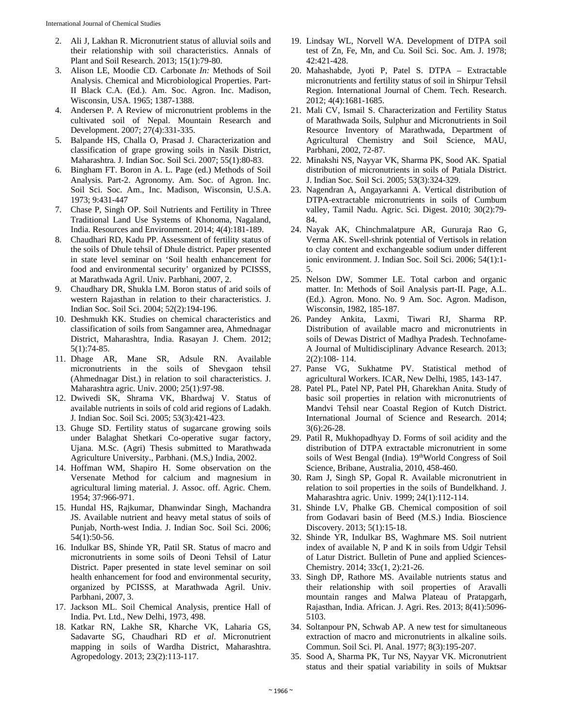- 2. Ali J, Lakhan R. Micronutrient status of alluvial soils and their relationship with soil characteristics. Annals of Plant and Soil Research. 2013; 15(1):79-80.
- 3. Alison LE, Moodie CD. Carbonate *In:* Methods of Soil Analysis. Chemical and Microbiological Properties. Part-II Black C.A. (Ed.). Am. Soc. Agron. Inc. Madison, Wisconsin, USA. 1965; 1387-1388.
- 4. Andersen P. A Review of micronutrient problems in the cultivated soil of Nepal. Mountain Research and Development. 2007; 27(4):331-335.
- 5. Balpande HS, Challa O, Prasad J. Characterization and classification of grape growing soils in Nasik District, Maharashtra*.* J. Indian Soc. Soil Sci. 2007; 55(1):80-83.
- 6. Bingham FT. Boron in A. L. Page (ed.) Methods of Soil Analysis. Part-2. Agronomy. Am. Soc. of Agron. Inc. Soil Sci. Soc. Am., Inc. Madison, Wisconsin, U.S.A. 1973; 9:431-447
- 7. Chase P, Singh OP. Soil Nutrients and Fertility in Three Traditional Land Use Systems of Khonoma, Nagaland, India. Resources and Environment. 2014; 4(4):181-189.
- 8. Chaudhari RD, Kadu PP. Assessment of fertility status of the soils of Dhule tehsil of Dhule district. Paper presented in state level seminar on 'Soil health enhancement for food and environmental security' organized by PCISSS, at Marathwada Agril. Univ. Parbhani, 2007, 2.
- 9. Chaudhary DR, Shukla LM. Boron status of arid soils of western Rajasthan in relation to their characteristics. J. Indian Soc. Soil Sci. 2004; 52(2):194-196.
- 10. Deshmukh KK. Studies on chemical characteristics and classification of soils from Sangamner area, Ahmednagar District, Maharashtra, India. Rasayan J. Chem. 2012; 5(1):74-85.
- 11. Dhage AR, Mane SR, Adsule RN. Available micronutrients in the soils of Shevgaon tehsil (Ahmednagar Dist.) in relation to soil characteristics. J. Maharashtra agric. Univ. 2000; 25(1):97-98.
- 12. Dwivedi SK, Shrama VK, Bhardwaj V. Status of available nutrients in soils of cold arid regions of Ladakh. J. Indian Soc. Soil Sci. 2005; 53(3):421-423.
- 13. Ghuge SD. Fertility status of sugarcane growing soils under Balaghat Shetkari Co-operative sugar factory, Ujana. M.Sc. (Agri) Thesis submitted to Marathwada Agriculture University., Parbhani. (M.S,) India, 2002.
- 14. Hoffman WM, Shapiro H. Some observation on the Versenate Method for calcium and magnesium in agricultural liming material. J. Assoc. off. Agric. Chem. 1954; 37:966-971.
- 15. Hundal HS, Rajkumar, Dhanwindar Singh, Machandra JS. Available nutrient and heavy metal status of soils of Punjab, North-west India. J. Indian Soc. Soil Sci. 2006; 54(1):50-56.
- 16. Indulkar BS, Shinde YR, Patil SR. Status of macro and micronutrients in some soils of Deoni Tehsil of Latur District. Paper presented in state level seminar on soil health enhancement for food and environmental security, organized by PCISSS, at Marathwada Agril. Univ. Parbhani, 2007, 3.
- 17. Jackson ML. Soil Chemical Analysis, prentice Hall of India. Pvt. Ltd., New Delhi, 1973, 498.
- 18. Katkar RN, Lakhe SR, Kharche VK, Laharia GS, Sadavarte SG, Chaudhari RD *et al*. Micronutrient mapping in soils of Wardha District, Maharashtra. Agropedology. 2013; 23(2):113-117.
- 19. Lindsay WL, Norvell WA. Development of DTPA soil test of Zn, Fe, Mn, and Cu. Soil Sci. Soc. Am. J. 1978; 42:421-428.
- 20. Mahashabde, Jyoti P, Patel S. DTPA Extractable micronutrients and fertility status of soil in Shirpur Tehsil Region. International Journal of Chem. Tech. Research. 2012; 4(4):1681-1685.
- 21. Mali CV, Ismail S. Characterization and Fertility Status of Marathwada Soils, Sulphur and Micronutrients in Soil Resource Inventory of Marathwada, Department of Agricultural Chemistry and Soil Science, MAU, Parbhani, 2002, 72-87.
- 22. Minakshi NS, Nayyar VK, Sharma PK, Sood AK. Spatial distribution of micronutrients in soils of Patiala District. J. Indian Soc. Soil Sci. 2005; 53(3):324-329.
- 23. Nagendran A, Angayarkanni A. Vertical distribution of DTPA-extractable micronutrients in soils of Cumbum valley, Tamil Nadu. Agric. Sci. Digest. 2010; 30(2):79- 84.
- 24. Nayak AK, Chinchmalatpure AR, Gururaja Rao G, Verma AK. Swell-shrink potential of Vertisols in relation to clay content and exchangeable sodium under different ionic environment. J. Indian Soc. Soil Sci. 2006; 54(1):1- 5.
- 25. Nelson DW, Sommer LE. Total carbon and organic matter. In: Methods of Soil Analysis part-II. Page, A.L. (Ed.). Agron. Mono. No. 9 Am. Soc. Agron. Madison, Wisconsin, 1982, 185-187.
- 26. Pandey Ankita, Laxmi, Tiwari RJ, Sharma RP. Distribution of available macro and micronutrients in soils of Dewas District of Madhya Pradesh. Technofame-A Journal of Multidisciplinary Advance Research. 2013; 2(2):108- 114.
- 27. Panse VG, Sukhatme PV. Statistical method of agricultural Workers. ICAR, New Delhi, 1985, 143-147.
- 28. Patel PL, Patel NP, Patel PH, Gharekhan Anita. Study of basic soil properties in relation with micronutrients of Mandvi Tehsil near Coastal Region of Kutch District. International Journal of Science and Research. 2014; 3(6):26-28.
- 29. Patil R, Mukhopadhyay D. Forms of soil acidity and the distribution of DTPA extractable micronutrient in some soils of West Bengal (India). 19<sup>th</sup>World Congress of Soil Science, Bribane, Australia, 2010, 458-460.
- 30. Ram J, Singh SP, Gopal R. Available micronutrient in relation to soil properties in the soils of Bundelkhand. J. Maharashtra agric. Univ. 1999; 24(1):112-114.
- 31. Shinde LV, Phalke GB. Chemical composition of soil from Godavari basin of Beed (M.S.) India. Bioscience Discovery. 2013; 5(1):15-18.
- 32. Shinde YR, Indulkar BS, Waghmare MS. Soil nutrient index of available N, P and K in soils from Udgir Tehsil of Latur District. Bulletin of Pune and applied Sciences-Chemistry. 2014; 33c(1, 2):21-26.
- 33. Singh DP, Rathore MS. Available nutrients status and their relationship with soil properties of Aravalli mountain ranges and Malwa Plateau of Pratapgarh, Rajasthan, India. African. J. Agri. Res. 2013; 8(41):5096- 5103.
- 34. Soltanpour PN, Schwab AP. A new test for simultaneous extraction of macro and micronutrients in alkaline soils. Commun. Soil Sci. Pl. Anal. 1977; 8(3):195-207.
- 35. Sood A, Sharma PK, Tur NS, Nayyar VK. Micronutrient status and their spatial variability in soils of Muktsar